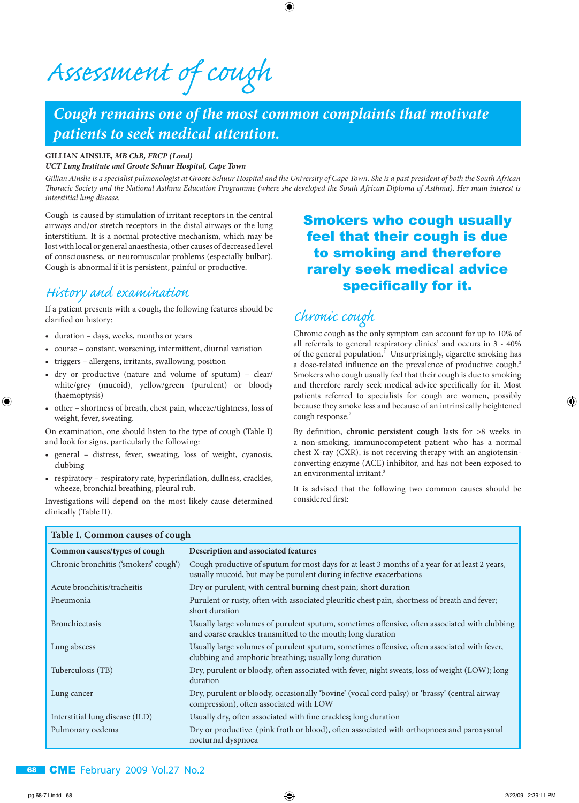*Assessment of cough*

# *Cough remains one of the most common complaints that motivate patients to seek medical attention.*

⊕

### **GILLIAN AINSLIE***, MB ChB, FRCP (Lond)*

*UCT Lung Institute and Groote Schuur Hospital, Cape Town*

*Gillian Ainslie is a specialist pulmonologist at Groote Schuur Hospital and the University of Cape Town. She is a past president of both the South African Thoracic Society and the National Asthma Education Programme (where she developed the South African Diploma of Asthma). Her main interest is interstitial lung disease.*

Cough is caused by stimulation of irritant receptors in the central airways and/or stretch receptors in the distal airways or the lung interstitium. It is a normal protective mechanism, which may be lost with local or general anaesthesia, other causes of decreased level of consciousness, or neuromuscular problems (especially bulbar). Cough is abnormal if it is persistent, painful or productive.

### *His tory and examination*

If a patient presents with a cough, the following features should be clarified on history:

• duration – days, weeks, months or years

**Table I. Common causes of cough**

- course constant, worsening, intermittent, diurnal variation
- triggers allergens, irritants, swallowing, position
- dry or productive (nature and volume of sputum) clear/ white/grey (mucoid), yellow/green (purulent) or bloody (haemoptysis)
- other shortness of breath, chest pain, wheeze/tightness, loss of weight, fever, sweating.

On examination, one should listen to the type of cough (Table I) and look for signs, particularly the following:

- general distress, fever, sweating, loss of weight, cyanosis, clubbing
- respiratory respiratory rate, hyperinflation, dullness, crackles, wheeze, bronchial breathing, pleural rub.

Investigations will depend on the most likely cause determined clinically (Table II).

### Smokers who cough usually feel that their cough is due to smoking and therefore rarely seek medical advice specifically for it.

# *Chronic cough*

Chronic cough as the only symptom can account for up to 10% of all referrals to general respiratory clinics<sup>1</sup> and occurs in  $3 - 40\%$ of the general population.<sup>2</sup> Unsurprisingly, cigarette smoking has a dose-related influence on the prevalence of productive cough.<sup>2</sup> Smokers who cough usually feel that their cough is due to smoking and therefore rarely seek medical advice specifically for it. Most patients referred to specialists for cough are women, possibly because they smoke less and because of an intrinsically heightened cough response.<sup>2</sup>

By definition, **chronic persistent cough** lasts for >8 weeks in a non-smoking, immunocompetent patient who has a normal chest X-ray (CXR), is not receiving therapy with an angiotensinconverting enzyme (ACE) inhibitor, and has not been exposed to an environmental irritant.<sup>3</sup>

It is advised that the following two common causes should be considered first:

| Table 1. Common causes of cough       |                                                                                                                                                                      |  |
|---------------------------------------|----------------------------------------------------------------------------------------------------------------------------------------------------------------------|--|
| Common causes/types of cough          | Description and associated features                                                                                                                                  |  |
| Chronic bronchitis ('smokers' cough') | Cough productive of sputum for most days for at least 3 months of a year for at least 2 years,<br>usually mucoid, but may be purulent during infective exacerbations |  |
| Acute bronchitis/tracheitis           | Dry or purulent, with central burning chest pain; short duration                                                                                                     |  |
| Pneumonia                             | Purulent or rusty, often with associated pleuritic chest pain, shortness of breath and fever;<br>short duration                                                      |  |
| <b>Bronchiectasis</b>                 | Usually large volumes of purulent sputum, sometimes offensive, often associated with clubbing<br>and coarse crackles transmitted to the mouth; long duration         |  |
| Lung abscess                          | Usually large volumes of purulent sputum, sometimes offensive, often associated with fever,<br>clubbing and amphoric breathing; usually long duration                |  |
| Tuberculosis (TB)                     | Dry, purulent or bloody, often associated with fever, night sweats, loss of weight (LOW); long<br>duration                                                           |  |
| Lung cancer                           | Dry, purulent or bloody, occasionally 'bovine' (vocal cord palsy) or 'brassy' (central airway<br>compression), often associated with LOW                             |  |
| Interstitial lung disease (ILD)       | Usually dry, often associated with fine crackles; long duration                                                                                                      |  |
| Pulmonary oedema                      | Dry or productive (pink froth or blood), often associated with orthopnoea and paroxysmal<br>nocturnal dyspnoea                                                       |  |

### 68 CMEFebruary 2009 Vol.27 No.2

⊕

⊕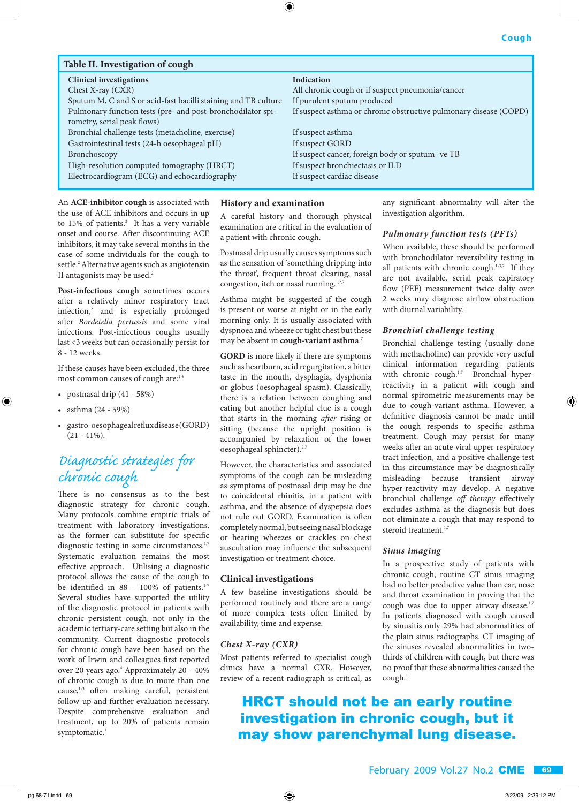| Table II. Investigation of cough                                                           |                                                                   |  |  |
|--------------------------------------------------------------------------------------------|-------------------------------------------------------------------|--|--|
| <b>Clinical investigations</b>                                                             | <b>Indication</b>                                                 |  |  |
| Chest X-ray (CXR)                                                                          | All chronic cough or if suspect pneumonia/cancer                  |  |  |
| Sputum M, C and S or acid-fast bacilli staining and TB culture                             | If purulent sputum produced                                       |  |  |
| Pulmonary function tests (pre- and post-bronchodilator spi-<br>rometry, serial peak flows) | If suspect asthma or chronic obstructive pulmonary disease (COPD) |  |  |
| Bronchial challenge tests (metacholine, exercise)                                          | If suspect asthma                                                 |  |  |
| Gastrointestinal tests (24-h oesophageal pH)                                               | If suspect GORD                                                   |  |  |
| Bronchoscopy                                                                               | If suspect cancer, foreign body or sputum -ve TB                  |  |  |
| High-resolution computed tomography (HRCT)                                                 | If suspect bronchiectasis or ILD                                  |  |  |
| Electrocardiogram (ECG) and echocardiography                                               | If suspect cardiac disease                                        |  |  |

⊕

An **ACE-inhibitor cough** is associated with the use of ACE inhibitors and occurs in up to  $15\%$  of patients.<sup>2</sup> It has a very variable onset and course. After discontinuing ACE inhibitors, it may take several months in the case of some individuals for the cough to settle.<sup>2</sup> Alternative agents such as angiotensin II antagonists may be used.<sup>2</sup>

**Post-infectious cough** sometimes occurs after a relatively minor respiratory tract infection,<sup>2</sup> and is especially prolonged after *Bordetella pertussis* and some viral infections. Post-infectious coughs usually last <3 weeks but can occasionally persist for 8 - 12 weeks.

If these causes have been excluded, the three most common causes of cough are:<sup>1-9</sup>

- postnasal drip (41 58%)
- asthma (24 59%)

⊕

• gastro-oesophageal reflux disease (GORD) (21 - 41%).

## *Diagnostic strategies for chronic cough*

There is no consensus as to the best diagnostic strategy for chronic cough. Many protocols combine empiric trials of treatment with laboratory investigations, as the former can substitute for specific diagnostic testing in some circumstances.<sup>1,7</sup> Systematic evaluation remains the most effective approach. Utilising a diagnostic protocol allows the cause of the cough to be identified in 88 - 100% of patients.<sup>1-7</sup> Several studies have supported the utility of the diagnostic protocol in patients with chronic persistent cough, not only in the academic tertiary-care setting but also in the community. Current diagnostic protocols for chronic cough have been based on the work of Irwin and colleagues first reported over 20 years ago.<sup>4</sup> Approximately 20 - 40% of chronic cough is due to more than one  $cause, <sup>1-3</sup>$  often making careful, persistent follow-up and further evaluation necessary. Despite comprehensive evaluation and treatment, up to 20% of patients remain symptomatic.<sup>1</sup>

#### **History and examination**

A careful history and thorough physical examination are critical in the evaluation of a patient with chronic cough.

Postnasal drip usually causes symptoms such as the sensation of 'something dripping into the throat', frequent throat clearing, nasal congestion, itch or nasal running.<sup>1,2,</sup>

Asthma might be suggested if the cough is present or worse at night or in the early morning only. It is usually associated with dyspnoea and wheeze or tight chest but these may be absent in **cough-variant asthma**. 7

**GORD** is more likely if there are symptoms such as heartburn, acid regurgitation, a bitter taste in the mouth, dysphagia, dysphonia or globus (oesophageal spasm). Classically, there is a relation between coughing and eating but another helpful clue is a cough that starts in the morning *after* rising or sitting (because the upright position is accompanied by relaxation of the lower oesophageal sphincter).<sup>2,7</sup>

However, the characteristics and associated symptoms of the cough can be misleading as symptoms of postnasal drip may be due to coincidental rhinitis, in a patient with asthma, and the absence of dyspepsia does not rule out GORD. Examination is often completely normal, but seeing nasal blockage or hearing wheezes or crackles on chest auscultation may influence the subsequent investigation or treatment choice.

#### **Clinical investigations**

A few baseline investigations should be performed routinely and there are a range of more complex tests often limited by availability, time and expense.

#### *Chest X-ray (CXR)*

Most patients referred to specialist cough clinics have a normal CXR. However, review of a recent radiograph is critical, as any significant abnormality will alter the investigation algorithm.

#### *Pulmonary function tests (PFTs)*

When available, these should be performed with bronchodilator reversibility testing in all patients with chronic cough.<sup>1-3,7</sup> If they are not available, serial peak expiratory flow (PEF) measurement twice daliy over 2 weeks may diagnose airflow obstruction with diurnal variability.<sup>1</sup>

#### *Bronchial challenge testing*

Bronchial challenge testing (usually done with methacholine) can provide very useful clinical information regarding patients with chronic cough.<sup>1,7</sup> Bronchial hyperreactivity in a patient with cough and normal spirometric measurements may be due to cough-variant asthma. However, a definitive diagnosis cannot be made until the cough responds to specific asthma treatment. Cough may persist for many weeks after an acute viral upper respiratory tract infection, and a positive challenge test in this circumstance may be diagnostically misleading because transient airway hyper-reactivity may develop. A negative bronchial challenge *off therapy* effectively excludes asthma as the diagnosis but does not eliminate a cough that may respond to steroid treatment.<sup>1,7</sup>

⊕

### *Sinus imaging*

In a prospective study of patients with chronic cough, routine CT sinus imaging had no better predictive value than ear, nose and throat examination in proving that the cough was due to upper airway disease.<sup>1,7</sup> In patients diagnosed with cough caused by sinusitis only 29% had abnormalities of the plain sinus radiographs. CT imaging of the sinuses revealed abnormalities in twothirds of children with cough, but there was no proof that these abnormalities caused the  $cough.<sup>1</sup>$ 

## HRCT should not be an early routine investigation in chronic cough, but it may show parenchymal lung disease.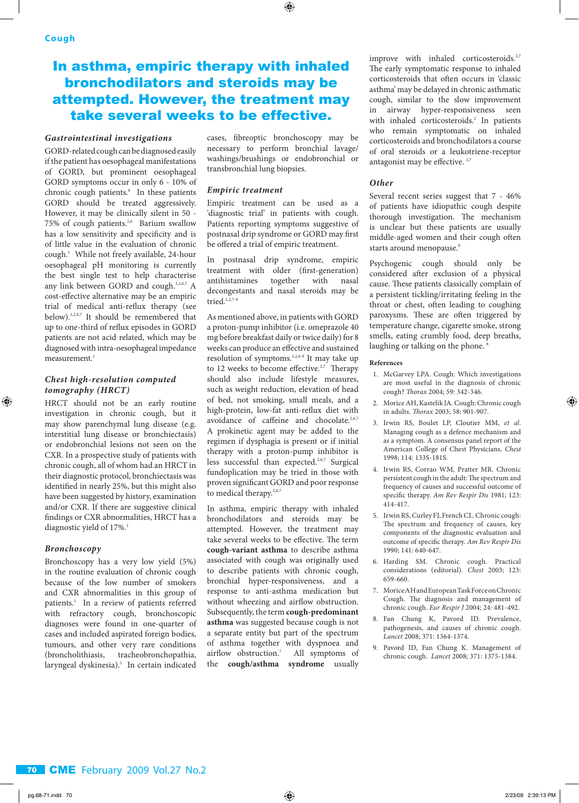### In asthma, empiric therapy with inhaled bronchodilators and steroids may be attempted. However, the treatment may take several weeks to be effective.

### *Gastrointestinal investigations*

GORD-related cough can be diagnosed easily if the patient has oesophageal manifestations of GORD, but prominent oesophageal GORD symptoms occur in only 6 - 10% of chronic cough patients.<sup>6</sup> In these patients GORD should be treated aggressively. However, it may be clinically silent in 50 - 75% of cough patients.<sup>2,6</sup> Barium swallow has a low sensitivity and specificity and is of little value in the evaluation of chronic cough.1 While not freely available, 24-hour oesophageal pH monitoring is currently the best single test to help characterise any link between GORD and cough.<sup>1,2,6,7</sup> A cost-effective alternative may be an empiric trial of medical anti-reflux therapy (see below).1,2,6,7 It should be remembered that up to one-third of reflux episodes in GORD patients are not acid related, which may be diagnosed with intra-oesophageal impedance measurement.<sup>1</sup>

### *Chest high-resolution computed tomography (HRCT)*

HRCT should not be an early routine investigation in chronic cough, but it may show parenchymal lung disease (e.g. interstitial lung disease or bronchiectasis) or endobronchial lesions not seen on the CXR. In a prospective study of patients with chronic cough, all of whom had an HRCT in their diagnostic protocol, bronchiectasis was identified in nearly 25%, but this might also have been suggested by history, examination and/or CXR. If there are suggestive clinical findings or CXR abnormalities, HRCT has a diagnostic yield of 17%.<sup>1</sup>

### *Bronchoscopy*

⊕

Bronchoscopy has a very low yield (5%) in the routine evaluation of chronic cough because of the low number of smokers and CXR abnormalities in this group of patients.<sup>1</sup> In a review of patients referred with refractory cough, bronchoscopic diagnoses were found in one-quarter of cases and included aspirated foreign bodies, tumours, and other very rare conditions (broncholithiasis, tracheobronchopathia, laryngeal dyskinesia).<sup>1</sup> In certain indicated

cases, fibreoptic bronchoscopy may be necessary to perform bronchial lavage/ washings/brushings or endobronchial or transbronchial lung biopsies.

⊕

#### *Empiric treatment*

Empiric treatment can be used as a 'diagnostic trial' in patients with cough. Patients reporting symptoms suggestive of postnasal drip syndrome or GORD may first be offered a trial of empiric treatment.

In postnasal drip syndrome, empiric treatment with older (first-generation) antihistamines together with nasal decongestants and nasal steroids may be tried. $1,2,7-9$ 

As mentioned above, in patients with GORD a proton-pump inhibitor (i.e. omeprazole 40 mg before breakfast daily or twice daily) for 8 weeks can produce an effective and sustained resolution of symptoms.1,2,6-9 It may take up to 12 weeks to become effective. $2,7$  Therapy should also include lifestyle measures, such as weight reduction, elevation of head of bed, not smoking, small meals, and a high-protein, low-fat anti-reflux diet with avoidance of caffeine and chocolate.<sup>2,6,7</sup> A prokinetic agent may be added to the regimen if dysphagia is present or if initial therapy with a proton-pump inhibitor is less successful than expected.<sup>2,6,7</sup> Surgical fundoplication may be tried in those with proven significant GORD and poor response to medical therapy.<sup>2,6,7</sup>

In asthma, empiric therapy with inhaled bronchodilators and steroids may be attempted. However, the treatment may take several weeks to be effective. The term **cough-variant asthma** to describe asthma associated with cough was originally used to describe patients with chronic cough, bronchial hyper-responsiveness, and a response to anti-asthma medication but without wheezing and airflow obstruction. Subsequently, the term **cough-predominant asthma** was suggested because cough is not a separate entity but part of the spectrum of asthma together with dyspnoea and airflow obstruction.<sup>7</sup> All symptoms of the **cough/asthma syndrome** usually

improve with inhaled corticosteroids.<sup>2,7</sup> The early symptomatic response to inhaled corticosteroids that often occurs in 'classic asthma' may be delayed in chronic asthmatic cough, similar to the slow improvement in airway hyper-responsiveness seen with inhaled corticosteroids.<sup>2</sup> In patients who remain symptomatic on inhaled corticosteroids and bronchodilators a course of oral steroids or a leukotriene-receptor antagonist may be effective. <sup>2,7</sup>

### *Other*

Several recent series suggest that 7 - 46% of patients have idiopathic cough despite thorough investigation. The mechanism is unclear but these patients are usually middle-aged women and their cough often starts around menopause.<sup>8</sup>

Psychogenic cough should only be considered after exclusion of a physical cause. These patients classically complain of a persistent tickling/irritating feeling in the throat or chest, often leading to coughing paroxysms. These are often triggered by temperature change, cigarette smoke, strong smells, eating crumbly food, deep breaths, laughing or talking on the phone.<sup>8</sup>

#### **References**

- 1. McGarvey LPA. Cough: Which investigations are most useful in the diagnosis of chronic cough? *Thorax* 2004; 59: 342-346.
- 2. Morice AH, Kastelik JA. Cough: Chronic cough in adults. *Thorax* 2003; 58: 901-907.
- 3. Irwin RS, Boulet LP, Cloutier MM, *et al*. Managing cough as a defence mechanism and as a symptom. A consensus panel report of the American College of Chest Physicians. *Chest* 1998; 114: 133S-181S.
- 4. Irwin RS, Corrao WM, Pratter MR. Chronic persistent cough in the adult: The spectrum and frequency of causes and successful outcome of specific therapy. *Am Rev Respir Dis* 1981; 123: 414-417.
- 5. Irwin RS, Curley FJ, French CL. Chronic cough: The spectrum and frequency of causes, key components of the diagnostic evaluation and outcome of specific therapy. *Am Rev Respir Dis* 1990; 141: 640-647.
- 6. Harding SM. Chronic cough. Practical considerations (editorial). *Chest* 2003; 123: 659-660.
- 7. Morice AH and European Task Force on Chronic Cough. The diagnosis and management of chronic cough. *Eur Respir J* 2004; 24: 481-492.
- 8. Fan Chung K, Pavord ID. Prevalence, pathogenesis, and causes of chronic cough. *Lancet* 2008; 371: 1364-1374.
- 9. Pavord ID, Fan Chung K. Management of chronic cough. *Lancet* 2008; 371: 1375-1384.

⊕